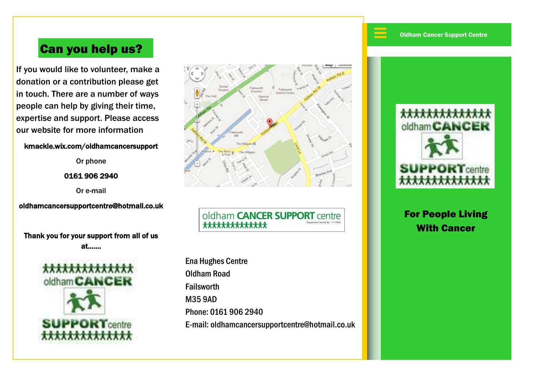$\equiv$ 

# Can you help us?

If you would like to volunteer, make a donation or a contribution please get in touch. There are a number of ways people can help by giving their time, expertise and support. Please access our website for more information

#### kmackle.wix.com/oldhamcancersupport

Or phone

0161 906 2940

Or e-mail

oldhamcancersupportcentre@hotmail.co.uk

Thank you for your support from all of us at…….





oldham **CANCER SUPPORT** centre \*\*\*\*\*\*\*\*\*\*\*\*\*\*

Ena Hughes Centre Oldham Road Failsworth M35 9AD Phone: 0161 906 2940 E-mail: oldhamcancersupportcentre@hotmail.co.uk



For People Living With Cancer